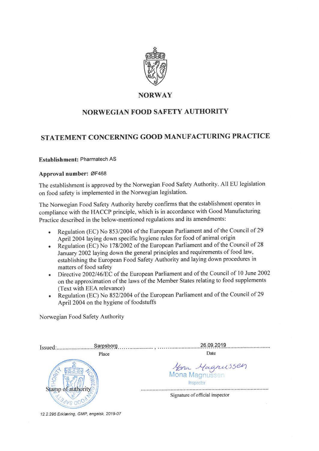

### **NORWAY**

# NORWEGIAN FOOD SAFETY AUTHORITY

# STATEMENT CONCERNING GOOD MANUFACTURING PRACTICE

#### Establishment: Pharmatech AS

#### Approval number: ØF468

The establishment is approved by the Norwegian Food Safety Authority. All EU legislation on food safety is implemented in the Norwegian legislation.

The Norwegian Food Safety Authority hereby confirms that the establishment operates in compliance with the HACCP principle, which is in accordance with Good Manufacturing Practice described in the below-mentioned regulations and its amendments:

- Regulation (EC) No 853/2004 of the European Parliament and of the Council of 29  $\bullet$ April 2004 laying down specific hygiene rules for food of animal origin
- Regulation (EC) No 178/2002 of the European Parliament and of the Council of 28 January 2002 laying down the general principles and requirements of food law, establishing the European Food Safety Authority and laying down procedures in matters of food safety
- Directive 2002/46/EC of the European Parliament and of the Council of 10 June 2002  $\bullet$ on the approximation of the laws of the Member States relating to food supplements (Text with EEA relevance)
- Regulation (EC) No 852/2004 of the European Parliament and of the Council of 29  $\bullet$ April 2004 on the hygiene of foodstuffs

Norwegian Food Safety Authority

| Issued: | Sarpsborg                                            | 26.09.2019                      |
|---------|------------------------------------------------------|---------------------------------|
|         | Place                                                | Date                            |
|         | <i>Mona Magnussen</i><br>Mona Magnussen<br>Inspector |                                 |
|         |                                                      | Signature of official inspector |

12.2.295 Erklæring, GMP, engelsk, 2019-07